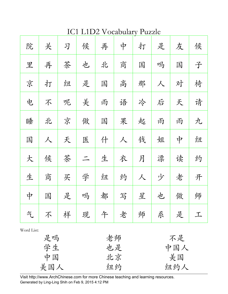IC1 L1D2 Vocabulary Puzzle

| 院 | 关 | 习 | 候              | 再 | 中 | 打 | 是 | 友 | 候 |
|---|---|---|----------------|---|---|---|---|---|---|
| 里 | 再 | 茶 | 也              | 北 | 商 | 国 | 吗 | 国 | 子 |
| 京 | 打 | 纽 | 是              | 国 | 高 | 那 | 人 | 对 | 椅 |
| 电 | 不 | 呢 | 美              | 雨 | 语 | 冷 | 后 | 天 | 请 |
| 睡 | 北 | 京 | 做              | 国 | 果 | 起 | 雨 | 雨 | 九 |
| 国 | 人 | 天 | 医              | 什 | 人 | 钱 | 姐 | 中 | 纽 |
| 大 | 候 | 茶 | $\overline{-}$ | 生 | 衣 | 月 | 漂 | 读 | 约 |
| 生 | 商 | 买 | 学              | 纽 | 约 | 人 | 少 | 老 | 开 |
| 中 | 国 | 是 | 吗              | 都 | 写 | 星 | 也 | 做 | 师 |
| 气 | 不 | 样 | 现              | 午 | 老 | 师 | 系 | 是 | 工 |

Word List:

| 是吗  | 老师 | 不是  |
|-----|----|-----|
| 学生  | 也是 | 中国人 |
| 中国  | 北京 | 美国  |
| 美国人 | 纽约 | 纽约人 |

Visit http://www.ArchChinese.com for more Chinese teaching and learning resources. Generated by Ling-Ling Shih on Feb 9, 2015 4:12 PM